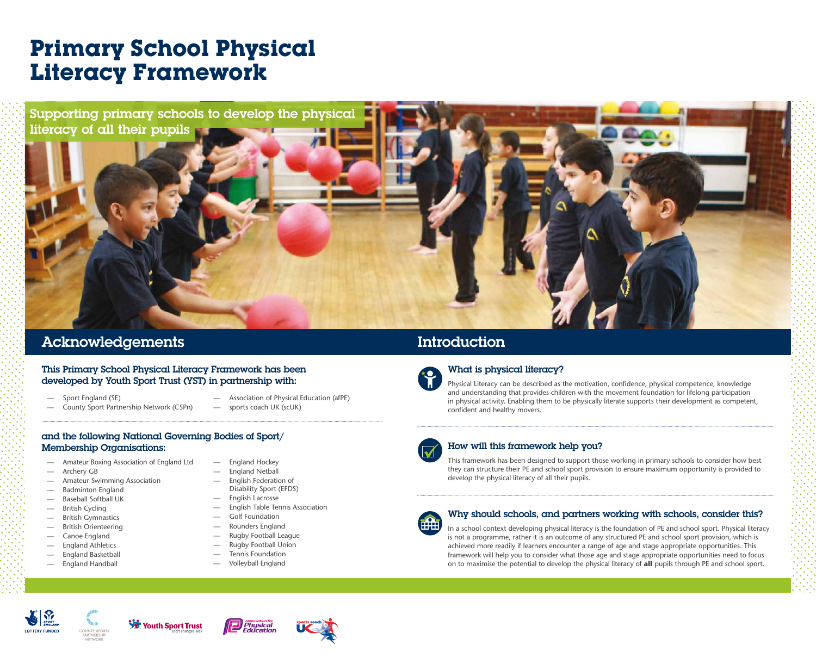- Amateur Boxing Association of England Ltd
- Archery GB
- Amateur Swimming Association
- Badminton England
- Baseball Softball UK
- British Cycling
- British Gymnastics
- British Orienteering
- Canoe England
- England Athletics
- England Basketball
- England Handball
- England Hockey
- England Netball
- English Federation of Disability Sport (EFDS)
- English Lacrosse
- English Table Tennis Association
- Golf Foundation
- Rounders England
- Rugby Football League
- Rugby Football Union
- Tennis Foundation
- Volleyball England



#### This Primary School Physical Literacy Framework has been developed by Youth Sport Trust (YST) in partnership with:

# **Primary School Physical Literacy Framework**

## Acknowledgements Introduction

### What is physical literacy?

Physical Literacy can be described as the motivation, confidence, physical competence, knowledge and understanding that provides children with the movement foundation for lifelong participation in physical activity. Enabling them to be physically literate supports their development as competent, confident and healthy movers.



- Sport England (SE)
- County Sport Partnership Network (CSPn)
- Association of Physical Education (afPE)
- sports coach UK (scUK)

## How will this framework help you?

This framework has been designed to support those working in primary schools to consider how best they can structure their PE and school sport provision to ensure maximum opportunity is provided to develop the physical literacy of all their pupils.



#### Why should schools, and partners working with schools, consider this?

In a school context developing physical literacy is the foundation of PE and school sport. Physical literacy is not a programme, rather it is an outcome of any structured PE and school sport provision, which is achieved more readily if learners encounter a range of age and stage appropriate opportunities. This framework will help you to consider what those age and stage appropriate opportunities need to focus on to maximise the potential to develop the physical literacy of **all** pupils through PE and school sport.

















#### and the following National Governing Bodies of Sport/ Membership Organisations:

Supporting primary schools to develop the physical literacy of all their pupils